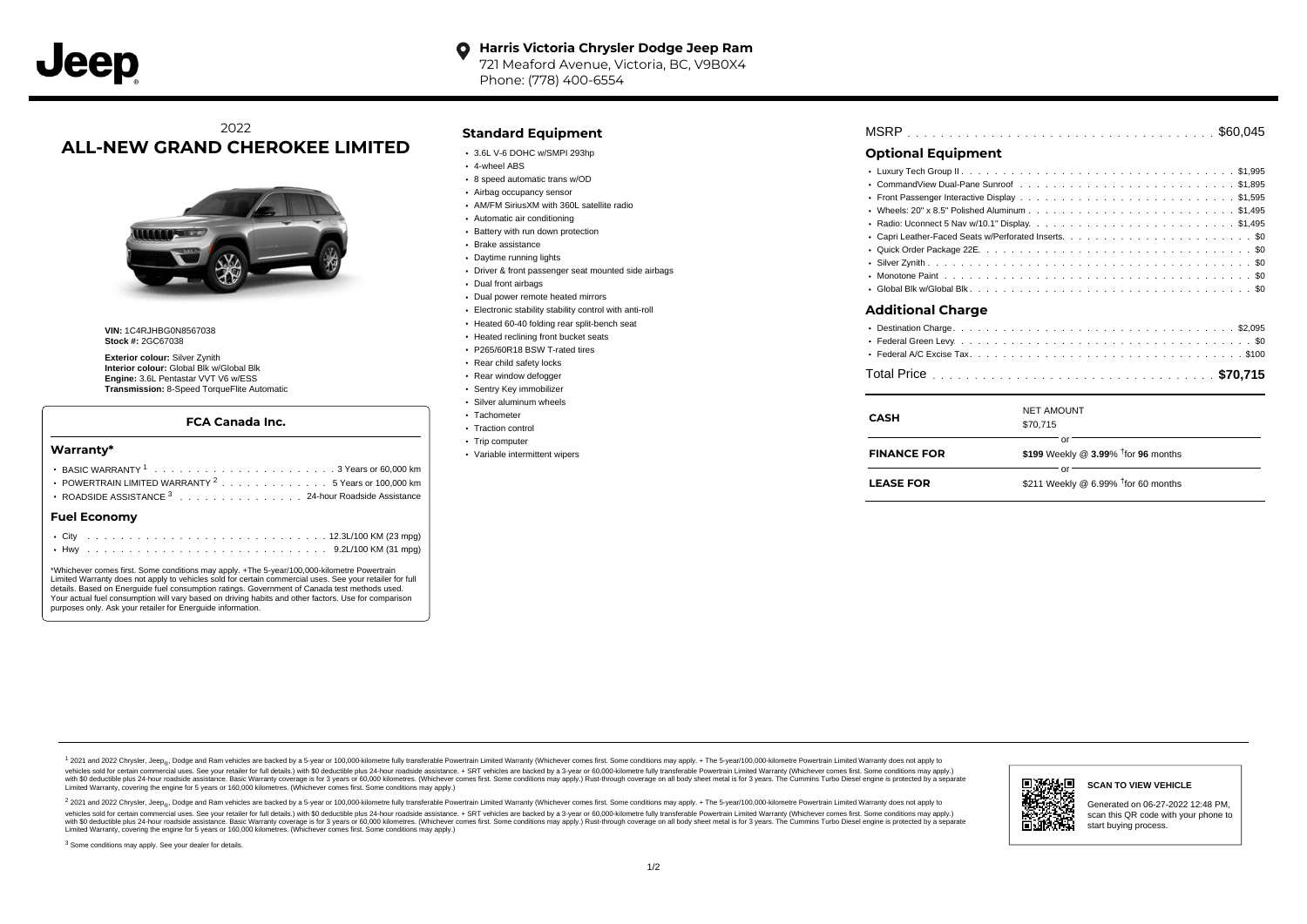#### **Harris Victoria Chrysler Dodge Jeep Ram**  $\bullet$

721 Meaford Avenue, Victoria, BC, V9B0X4 Phone: (778) 400-6554

## 2022 **ALL-NEW GRAND CHEROKEE LIMITED**



**VIN:** 1C4RJHBG0N8567038 **Stock #:** 2GC67038

**Exterior colour:** Silver Zynith **Interior colour:** Global Blk w/Global Blk **Engine:** 3.6L Pentastar VVT V6 w/ESS **Transmission:** 8-Speed TorqueFlite Automatic

#### **FCA Canada Inc.**

#### **Warranty\***

| <b>Fuel Economv</b>                                            |  |  |  |  |  |  |
|----------------------------------------------------------------|--|--|--|--|--|--|
| ROADSIDE ASSISTANCE 3 24-hour Roadside Assistance              |  |  |  |  |  |  |
| POWERTRAIN LIMITED WARRANTY <sup>2</sup> 5 Years or 100,000 km |  |  |  |  |  |  |
|                                                                |  |  |  |  |  |  |
|                                                                |  |  |  |  |  |  |

\*Whichever comes first. Some conditions may apply. +The 5-year/100,000-kilometre Powertrain Limited Warranty does not apply to vehicles sold for certain commercial uses. See your retailer for full details. Based on Energuide fuel consumption ratings. Government of Canada test methods used. Your actual fuel consumption will vary based on driving habits and other factors. Use for comparison purposes only. Ask your retailer for Energuide information.

. . . . . . . . . . . . . . . . . . . . . . . . . . . . . . . . . . . . . . . . . . . Hwy 9.2L/100 KM (31 mpg)

#### **Standard Equipment**

- 3.6L V-6 DOHC w/SMPI 293hp
- 4-wheel ABS
- 8 speed automatic trans w/OD
- Airbag occupancy sensor
- AM/FM SiriusXM with 360L satellite radio
- Automatic air conditioning
- Battery with run down protection
- Brake assistance
- Daytime running lights
- Driver & front passenger seat mounted side airbags
- Dual front airbags
- Dual power remote heated mirrors
- Electronic stability stability control with anti-roll
- Heated 60-40 folding rear split-bench seat
- Heated reclining front bucket seats
- P265/60R18 BSW T-rated tires
- Rear child safety locks
- Rear window defogger
- Sentry Key immobilizer Silver aluminum wheels
- 
- Tachometer • Traction control
- Trip computer
- Variable intermittent wipers

| MSRP |  |  |  |  |  |  |  |  |  |  |  |  |  |  |  |  |  |  |  |  |  |  |  |  |  |  |  |  |  |  |  |  |  |  |  |  |  |  |  |  |  |  |  |  |  |  |  |  |  |  |  |
|------|--|--|--|--|--|--|--|--|--|--|--|--|--|--|--|--|--|--|--|--|--|--|--|--|--|--|--|--|--|--|--|--|--|--|--|--|--|--|--|--|--|--|--|--|--|--|--|--|--|--|--|
|------|--|--|--|--|--|--|--|--|--|--|--|--|--|--|--|--|--|--|--|--|--|--|--|--|--|--|--|--|--|--|--|--|--|--|--|--|--|--|--|--|--|--|--|--|--|--|--|--|--|--|--|

## **Optional Equipment**

 $\mathbf{r}$ 

| CASH               | <b>NET AMOUNT</b><br>\$70.715                            |
|--------------------|----------------------------------------------------------|
| <b>FINANCE FOR</b> | Ωľ<br>\$199 Weekly @ $3.99\%$ <sup>†</sup> for 96 months |
| <b>LEASE FOR</b>   | Ωľ<br>\$211 Weekly @ 6.99% $†$ for 60 months             |

1 2021 and 2022 Chrysler, Jeep<sub>en</sub> Dodge and Ram vehicles are backed by a 5-year or 100,000-kilometre fully transferable Powertrain Limited Warranty (Whichever comes first. Some conditions may apply. + The 5-year/100,000-k vehicles sold for certain commercial uses. See your retailer for full details.) with \$0 deductible plus 24-hour roadside assistance. + SRT vehicles are backed by a 3-year or 60,000-kilometre fully transferable Powertrain L versus and contract the mean of the contract of the contract with a contract with a contract the contract of the search of the contract and a control of the contract and contract and control of the search of the search of Limited Warranty, covering the engine for 5 years or 160,000 kilometres. (Whichever comes first. Some conditions may apply.)

<sup>2</sup> 2021 and 2022 Chrysler, Jeep<sub>®</sub>, Dodge and Ram vehicles are backed by a 5-year or 100,000-kilometre fully transferable Powertrain Limited Warranty (Whichever comes first. Some conditions may apply. + The 5-year/100,000 vehicles sold for certain commercial uses. See your retailer for full details.) with SO deductible plus 24-hour roadside assistance. + SRT vehicles are backed by a 3-year or 60.000-kilometre fully transferable Powertrain L with S0 deductible plus 24-hour roadside assistance. Basic Warranty coverage is for 3 years or 60,000 kilometres. (Whichever comes first. Some conditions may apply.) Rust-through coverage on all body sheet metal is for 3 y



**SCAN TO VIEW VEHICLE**

Generated on 06-27-2022 12:48 PM, scan this QR code with your phone to start buying process.

<sup>3</sup> Some conditions may apply. See your dealer for details.